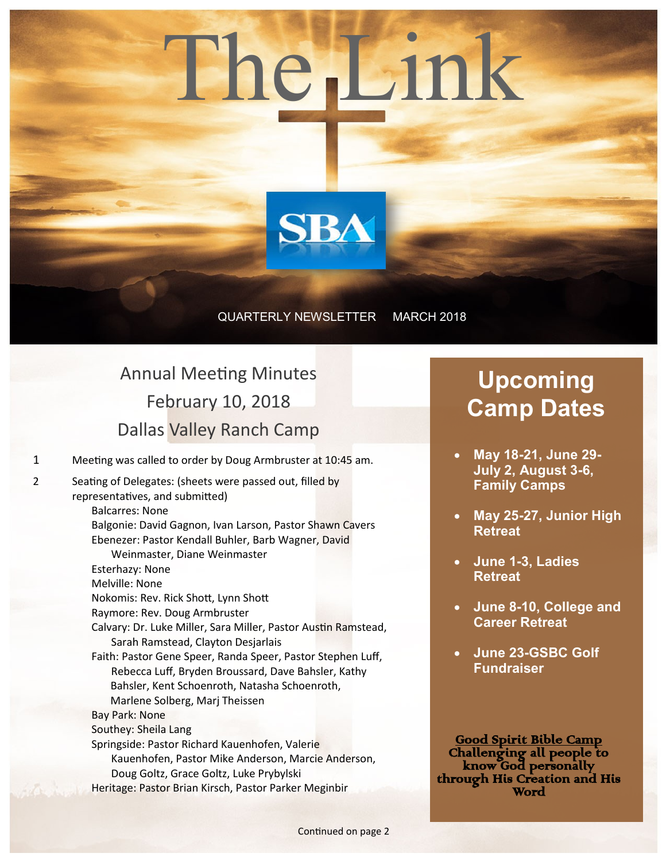# The Link



### QUARTERLY NEWSLETTER MARCH 2018

## Annual Meeting Minutes February 10, 2018 Dallas Valley Ranch Camp

1 Meeting was called to order by Doug Armbruster at 10:45 am.

2 Seating of Delegates: (sheets were passed out, filled by representatives, and submitted) Balcarres: None Balgonie: David Gagnon, Ivan Larson, Pastor Shawn Cavers Ebenezer: Pastor Kendall Buhler, Barb Wagner, David Weinmaster, Diane Weinmaster Esterhazy: None Melville: None Nokomis: Rev. Rick Shott, Lynn Shott Raymore: Rev. Doug Armbruster Calvary: Dr. Luke Miller, Sara Miller, Pastor Austin Ramstead, Sarah Ramstead, Clayton Desjarlais Faith: Pastor Gene Speer, Randa Speer, Pastor Stephen Luff, Rebecca Luff, Bryden Broussard, Dave Bahsler, Kathy Bahsler, Kent Schoenroth, Natasha Schoenroth, Marlene Solberg, Marj Theissen Bay Park: None Southey: Sheila Lang Springside: Pastor Richard Kauenhofen, Valerie Kauenhofen, Pastor Mike Anderson, Marcie Anderson, Doug Goltz, Grace Goltz, Luke Prybylski Heritage: Pastor Brian Kirsch, Pastor Parker Meginbir

## **Upcoming Camp Dates**

- **May 18-21, June 29- July 2, August 3-6, Family Camps**
- **May 25-27, Junior High Retreat**
- **June 1-3, Ladies Retreat**
- **June 8-10, College and Career Retreat**
- **June 23-GSBC Golf Fundraiser**

Good Spirit Bible Camp Challenging all people to know God personally through His Creation and His Word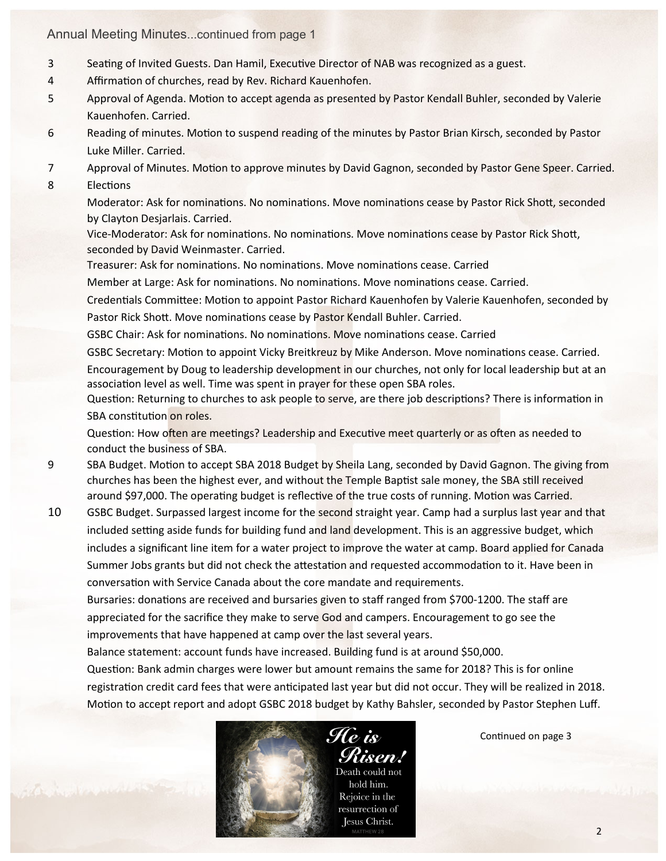### Annual Meeting Minutes...continued from page 1

- 3 Seating of Invited Guests. Dan Hamil, Executive Director of NAB was recognized as a guest.
- 4 Affirmation of churches, read by Rev. Richard Kauenhofen.
- 5 Approval of Agenda. Motion to accept agenda as presented by Pastor Kendall Buhler, seconded by Valerie Kauenhofen. Carried.
- 6 Reading of minutes. Motion to suspend reading of the minutes by Pastor Brian Kirsch, seconded by Pastor Luke Miller. Carried.
- 7 Approval of Minutes. Motion to approve minutes by David Gagnon, seconded by Pastor Gene Speer. Carried.
- 8 Elections

Moderator: Ask for nominations. No nominations. Move nominations cease by Pastor Rick Shott, seconded by Clayton Desjarlais. Carried.

Vice-Moderator: Ask for nominations. No nominations. Move nominations cease by Pastor Rick Shott, seconded by David Weinmaster. Carried.

Treasurer: Ask for nominations. No nominations. Move nominations cease. Carried

Member at Large: Ask for nominations. No nominations. Move nominations cease. Carried.

Credentials Committee: Motion to appoint Pastor Richard Kauenhofen by Valerie Kauenhofen, seconded by Pastor Rick Shott. Move nominations cease by Pastor Kendall Buhler. Carried.

GSBC Chair: Ask for nominations. No nominations. Move nominations cease. Carried

GSBC Secretary: Motion to appoint Vicky Breitkreuz by Mike Anderson. Move nominations cease. Carried. Encouragement by Doug to leadership development in our churches, not only for local leadership but at an association level as well. Time was spent in prayer for these open SBA roles.

Question: Returning to churches to ask people to serve, are there job descriptions? There is information in SBA constitution on roles.

Question: How often are meetings? Leadership and Executive meet quarterly or as often as needed to conduct the business of SBA.

- 9 SBA Budget. Motion to accept SBA 2018 Budget by Sheila Lang, seconded by David Gagnon. The giving from churches has been the highest ever, and without the Temple Baptist sale money, the SBA still received around \$97,000. The operating budget is reflective of the true costs of running. Motion was Carried.
- 10 GSBC Budget. Surpassed largest income for the second straight year. Camp had a surplus last year and that included setting aside funds for building fund and land development. This is an aggressive budget, which includes a significant line item for a water project to improve the water at camp. Board applied for Canada Summer Jobs grants but did not check the attestation and requested accommodation to it. Have been in conversation with Service Canada about the core mandate and requirements.

Bursaries: donations are received and bursaries given to staff ranged from \$700-1200. The staff are appreciated for the sacrifice they make to serve God and campers. Encouragement to go see the improvements that have happened at camp over the last several years.

Balance statement: account funds have increased. Building fund is at around \$50,000.

Question: Bank admin charges were lower but amount remains the same for 2018? This is for online registration credit card fees that were anticipated last year but did not occur. They will be realized in 2018. Motion to accept report and adopt GSBC 2018 budget by Kathy Bahsler, seconded by Pastor Stephen Luff.



Continued on page 3